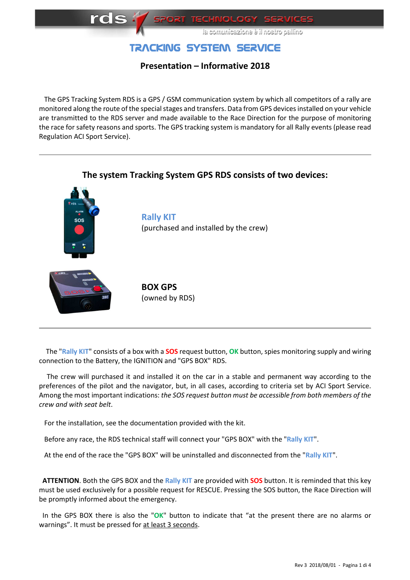

# TRACKING SYSTEM SERVICE

## **Presentation – Informative 2018**

 The GPS Tracking System RDS is a GPS / GSM communication system by which all competitors of a rally are monitored along the route of the special stages and transfers. Data from GPS devices installed on your vehicle are transmitted to the RDS server and made available to the Race Direction for the purpose of monitoring the race for safety reasons and sports. The GPS tracking system is mandatory for all Rally events (please read Regulation ACI Sport Service).



 The "**Rally KIT**" consists of a box with a **SOS** request button, **OK** button, spies monitoring supply and wiring connection to the Battery, the IGNITION and "GPS BOX" RDS.

 The crew will purchased it and installed it on the car in a stable and permanent way according to the preferences of the pilot and the navigator, but, in all cases, according to criteria set by ACI Sport Service. Among the most important indications: *the SOS request button must be accessible from both members of the crew and with seat belt*.

For the installation, see the documentation provided with the kit.

Before any race, the RDS technical staff will connect your "GPS BOX" with the "**Rally KIT**".

At the end of the race the "GPS BOX" will be uninstalled and disconnected from the "**Rally KIT**".

 **ATTENTION**. Both the GPS BOX and the **Rally KIT** are provided with **SOS** button. It is reminded that this key must be used exclusively for a possible request for RESCUE. Pressing the SOS button, the Race Direction will be promptly informed about the emergency.

 In the GPS BOX there is also the "**OK**" button to indicate that "at the present there are no alarms or warnings". It must be pressed for at least 3 seconds.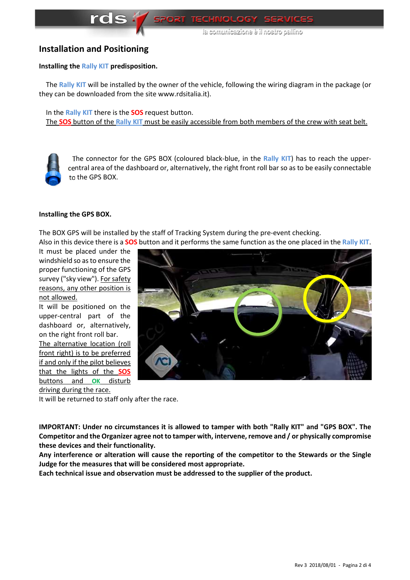onilleg orizon li é encizezinumoz el

### **Installation and Positioning**

#### **Installing the Rally KIT predisposition.**

The **Rally KIT** will be installed by the owner of the vehicle, following the wiring diagram in the package (or they can be downloaded from the site www.rdsitalia.it).

 In the **Rally KIT** there is the **SOS** request button. The **SOS** button of the **Rally KIT** must be easily accessible from both members of the crew with seat belt.



 The connector for the GPS BOX (coloured black-blue, in the **Rally KIT**) has to reach the uppercentral area of the dashboard or, alternatively, the right front roll bar so as to be easily connectable to the GPS BOX.

#### **Installing the GPS BOX.**

The BOX GPS will be installed by the staff of Tracking System during the pre-event checking. Also in this device there is a **SOS** button and it performs the same function as the one placed in the **Rally KIT**.

It must be placed under the windshield so as to ensure the proper functioning of the GPS survey ("sky view"). For safety reasons, any other position is not allowed.

It will be positioned on the upper-central part of the dashboard or, alternatively, on the right front roll bar.

The alternative location (roll front right) is to be preferred if and only if the pilot believes that the lights of the **SOS** buttons and **OK** disturb driving during the race.



It will be returned to staff only after the race.

**IMPORTANT: Under no circumstances it is allowed to tamper with both "Rally KIT" and "GPS BOX". The Competitor and the Organizer agree not to tamper with, intervene, remove and / or physically compromise these devices and their functionality.** 

**Any interference or alteration will cause the reporting of the competitor to the Stewards or the Single Judge for the measures that will be considered most appropriate.** 

**Each technical issue and observation must be addressed to the supplier of the product.**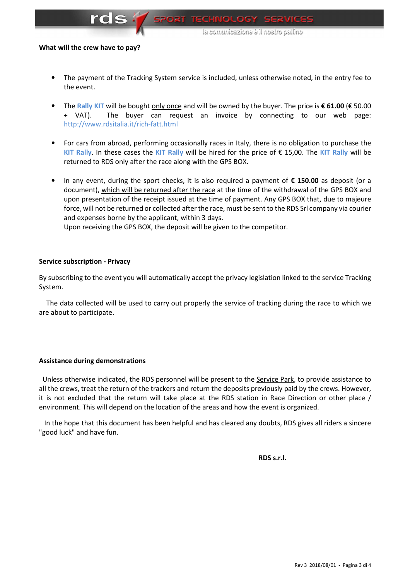

onilleg orizon li é encizepinumop el

#### **What will the crew have to pay?**

- The payment of the Tracking System service is included, unless otherwise noted, in the entry fee to the event.
- The **Rally KIT** will be bought only once and will be owned by the buyer. The price is **€ 61.00** (€ 50.00 + VAT). The buyer can request an invoice by connecting to our web page: http://www.rdsitalia.it/rich-fatt.html
- For cars from abroad, performing occasionally races in Italy, there is no obligation to purchase the **KIT Rally**. In these cases the **KIT Rally** will be hired for the price of € 15,00. The **KIT Rally** will be returned to RDS only after the race along with the GPS BOX.
- In any event, during the sport checks, it is also required a payment of **€ 150.00** as deposit (or a document), which will be returned after the race at the time of the withdrawal of the GPS BOX and upon presentation of the receipt issued at the time of payment. Any GPS BOX that, due to majeure force, will not be returned or collected after the race, must be sent to the RDS Srl company via courier and expenses borne by the applicant, within 3 days.

Upon receiving the GPS BOX, the deposit will be given to the competitor.

#### **Service subscription - Privacy**

By subscribing to the event you will automatically accept the privacy legislation linked to the service Tracking System.

 The data collected will be used to carry out properly the service of tracking during the race to which we are about to participate.

#### **Assistance during demonstrations**

 Unless otherwise indicated, the RDS personnel will be present to the Service Park, to provide assistance to all the crews, treat the return of the trackers and return the deposits previously paid by the crews. However, it is not excluded that the return will take place at the RDS station in Race Direction or other place / environment. This will depend on the location of the areas and how the event is organized.

 In the hope that this document has been helpful and has cleared any doubts, RDS gives all riders a sincere "good luck" and have fun.

**RDS s.r.l. RDS** s.r.l.